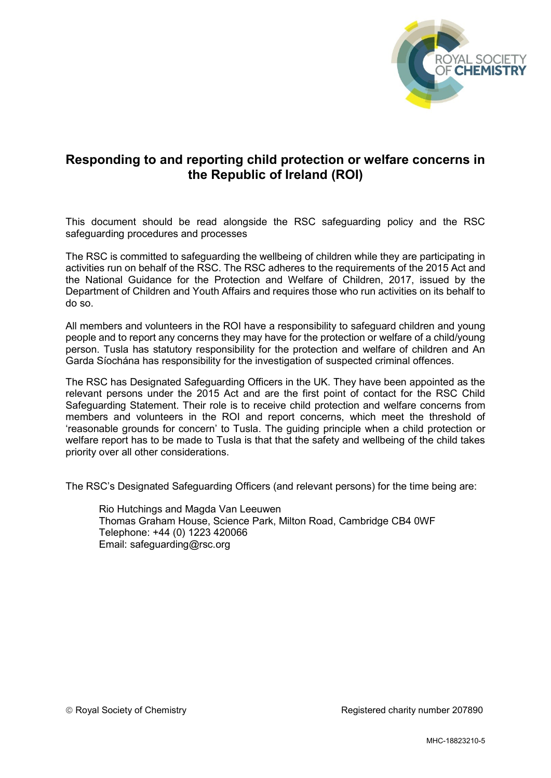

## **Responding to and reporting child protection or welfare concerns in the Republic of Ireland (ROI)**

This document should be read alongside the RSC safeguarding policy and the RSC safeguarding procedures and processes

The RSC is committed to safeguarding the wellbeing of children while they are participating in activities run on behalf of the RSC. The RSC adheres to the requirements of the 2015 Act and the National Guidance for the Protection and Welfare of Children, 2017, issued by the Department of Children and Youth Affairs and requires those who run activities on its behalf to do so.

All members and volunteers in the ROI have a responsibility to safeguard children and young people and to report any concerns they may have for the protection or welfare of a child/young person. Tusla has statutory responsibility for the protection and welfare of children and An Garda Síochána has responsibility for the investigation of suspected criminal offences.

The RSC has Designated Safeguarding Officers in the UK. They have been appointed as the relevant persons under the 2015 Act and are the first point of contact for the RSC Child Safeguarding Statement. Their role is to receive child protection and welfare concerns from members and volunteers in the ROI and report concerns, which meet the threshold of 'reasonable grounds for concern' to Tusla. The guiding principle when a child protection or welfare report has to be made to Tusla is that that the safety and wellbeing of the child takes priority over all other considerations.

The RSC's Designated Safeguarding Officers (and relevant persons) for the time being are:

Rio Hutchings and Magda Van Leeuwen Thomas Graham House, Science Park, Milton Road, Cambridge CB4 0WF Telephone: +44 (0) 1223 420066 Email: safeguarding@rsc.org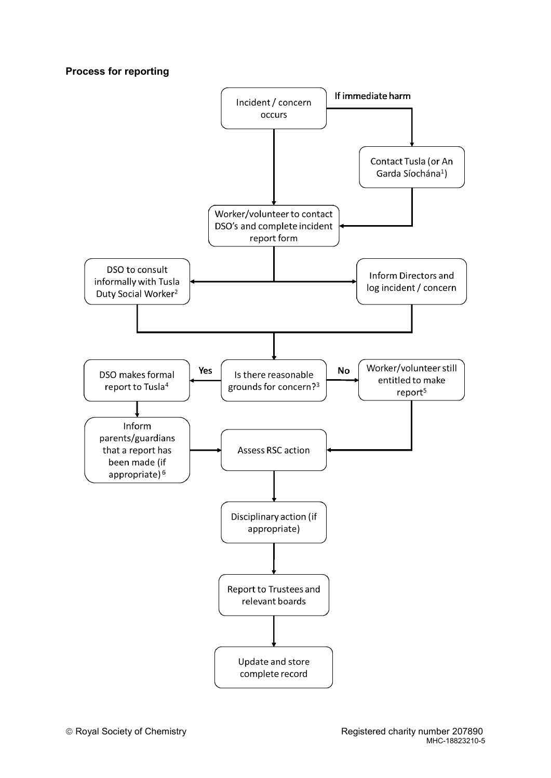## **Process for reporting**

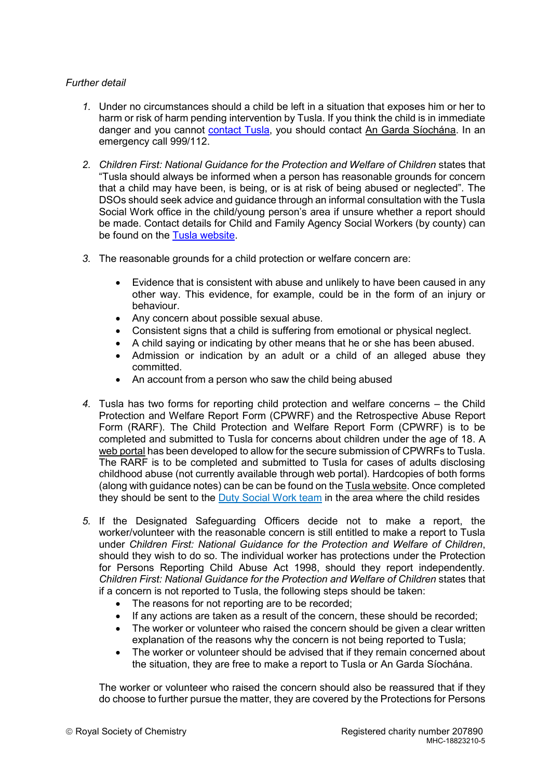## *Further detail*

- *1.* Under no circumstances should a child be left in a situation that exposes him or her to harm or risk of harm pending intervention by Tusla. If you think the child is in immediate danger and you cannot [contact Tusla,](https://www.tusla.ie/children-first/contact-a-social-worker3/) you should contact An Garda Síochána. In an emergency call 999/112.
- 2. Children First: National Guidance for the Protection and Welfare of Children states that "Tusla should always be informed when a person has reasonable grounds for concern that a child may have been, is being, or is at risk of being abused or neglected". The DSOs should seek advice and guidance through an informal consultation with the Tusla Social Work office in the child/young person's area if unsure whether a report should be made. Contact details for Child and Family Agency Social Workers (by county) can be found on the [Tusla website.](https://www.tusla.ie/services/child-protection-welfare/contact-a-social-worker/)
- *3.* The reasonable grounds for a child protection or welfare concern are:
	- Evidence that is consistent with abuse and unlikely to have been caused in any other way. This evidence, for example, could be in the form of an injury or behaviour.
	- Any concern about possible sexual abuse.
	- Consistent signs that a child is suffering from emotional or physical neglect.
	- A child saying or indicating by other means that he or she has been abused.
	- Admission or indication by an adult or a child of an alleged abuse they committed.
	- $\bullet$  An account from a person who saw the child being abused
- *4.* Tusla has two forms for reporting child protection and welfare concerns the Child Protection and Welfare Report Form (CPWRF) and the Retrospective Abuse Report Form (RARF). The Child Protection and Welfare Report Form (CPWRF) is to be completed and submitted to Tusla for concerns about children under the age of 18. A [web portal](https://www.tusla.ie/children-first/web-portal/) has been developed to allow for the secure submission of CPWRFs to Tusla. The RARF is to be completed and submitted to Tusla for cases of adults disclosing childhood abuse (not currently available through web portal). Hardcopies of both forms (along with guidance notes) can be can be found on th[e Tusla website.](https://www.tusla.ie/children-first/publications-and-forms/#SRP) Once completed they should be sent to the [Duty Social Work team](https://www.tusla.ie/children-first/contact-a-social-worker3/) in the area where the child resides
- *5.* If the Designated Safeguarding Officers decide not to make a report, the worker/volunteer with the reasonable concern is still entitled to make a report to Tusla under *Children First: National Guidance for the Protection and Welfare of Children*, should they wish to do so. The individual worker has protections under the Protection for Persons Reporting Child Abuse Act 1998, should they report independently. *Children First: National Guidance for the Protection and Welfare of Children states that* if a concern is not reported to Tusla, the following steps should be taken:
	- The reasons for not reporting are to be recorded:
	- If any actions are taken as a result of the concern, these should be recorded;
	- The worker or volunteer who raised the concern should be given a clear written explanation of the reasons why the concern is not being reported to Tusla;
	- The worker or volunteer should be advised that if they remain concerned about the situation, they are free to make a report to Tusla or An Garda Síochána.

The worker or volunteer who raised the concern should also be reassured that if they do choose to further pursue the matter, they are covered by the Protections for Persons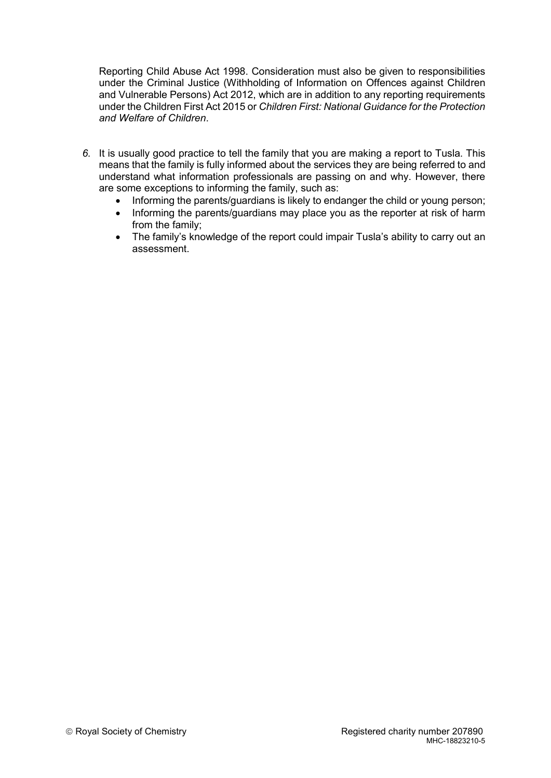Reporting Child Abuse Act 1998. Consideration must also be given to responsibilities under the Criminal Justice (Withholding of Information on Offences against Children and Vulnerable Persons) Act 2012, which are in addition to any reporting requirements under the Children First Act 2015 or *Children First: National Guidance for the Protection and Welfare of Children*.

- *6.* It is usually good practice to tell the family that you are making a report to Tusla. This means that the family is fully informed about the services they are being referred to and understand what information professionals are passing on and why. However, there are some exceptions to informing the family, such as:
	- Informing the parents/guardians is likely to endanger the child or young person;
	- Informing the parents/guardians may place you as the reporter at risk of harm from the family;
	- The family's knowledge of the report could impair Tusla's ability to carry out an assessment.